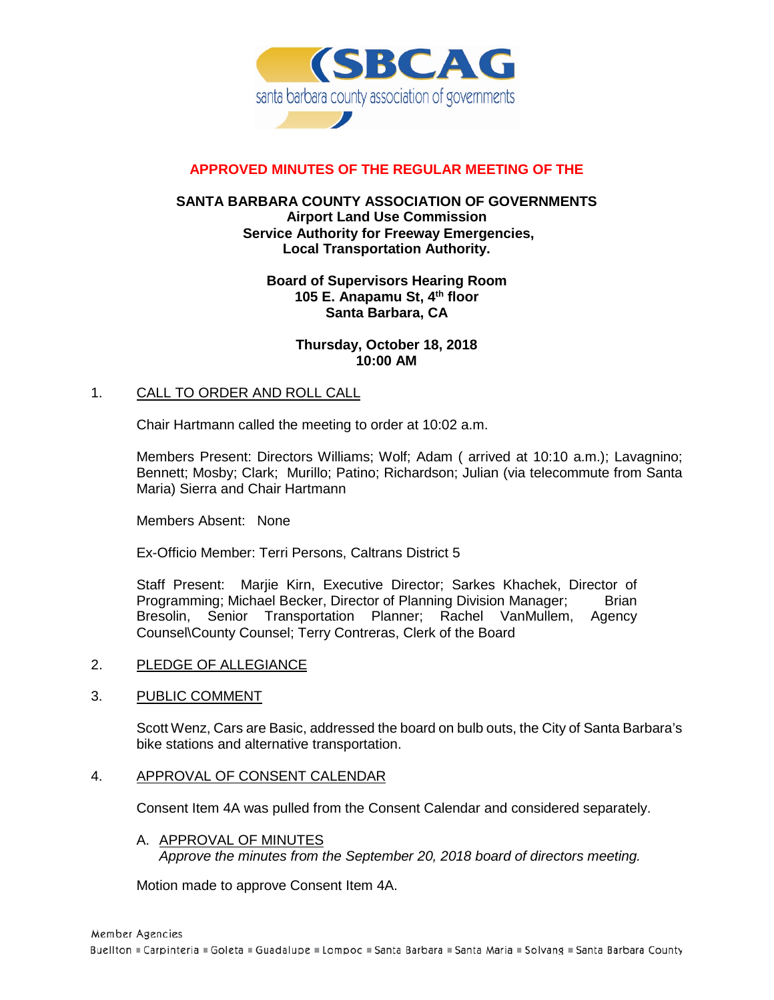

# **APPROVED MINUTES OF THE REGULAR MEETING OF THE**

### **SANTA BARBARA COUNTY ASSOCIATION OF GOVERNMENTS Airport Land Use Commission Service Authority for Freeway Emergencies, Local Transportation Authority.**

#### **Board of Supervisors Hearing Room 105 E. Anapamu St, 4th floor Santa Barbara, CA**

#### **Thursday, October 18, 2018 10:00 AM**

### 1. CALL TO ORDER AND ROLL CALL

Chair Hartmann called the meeting to order at 10:02 a.m.

Members Present: Directors Williams; Wolf; Adam ( arrived at 10:10 a.m.); Lavagnino; Bennett; Mosby; Clark; Murillo; Patino; Richardson; Julian (via telecommute from Santa Maria) Sierra and Chair Hartmann

Members Absent: None

Ex-Officio Member: Terri Persons, Caltrans District 5

Staff Present: Marjie Kirn, Executive Director; Sarkes Khachek, Director of Programming; Michael Becker, Director of Planning Division Manager; Brian Bresolin, Senior Transportation Planner; Rachel VanMullem, Agency Counsel\County Counsel; Terry Contreras, Clerk of the Board

#### 2. PLEDGE OF ALLEGIANCE

#### 3. PUBLIC COMMENT

Scott Wenz, Cars are Basic, addressed the board on bulb outs, the City of Santa Barbara's bike stations and alternative transportation.

#### 4. APPROVAL OF CONSENT CALENDAR

Consent Item 4A was pulled from the Consent Calendar and considered separately.

A. APPROVAL OF MINUTES *Approve the minutes from the September 20, 2018 board of directors meeting.*

Motion made to approve Consent Item 4A.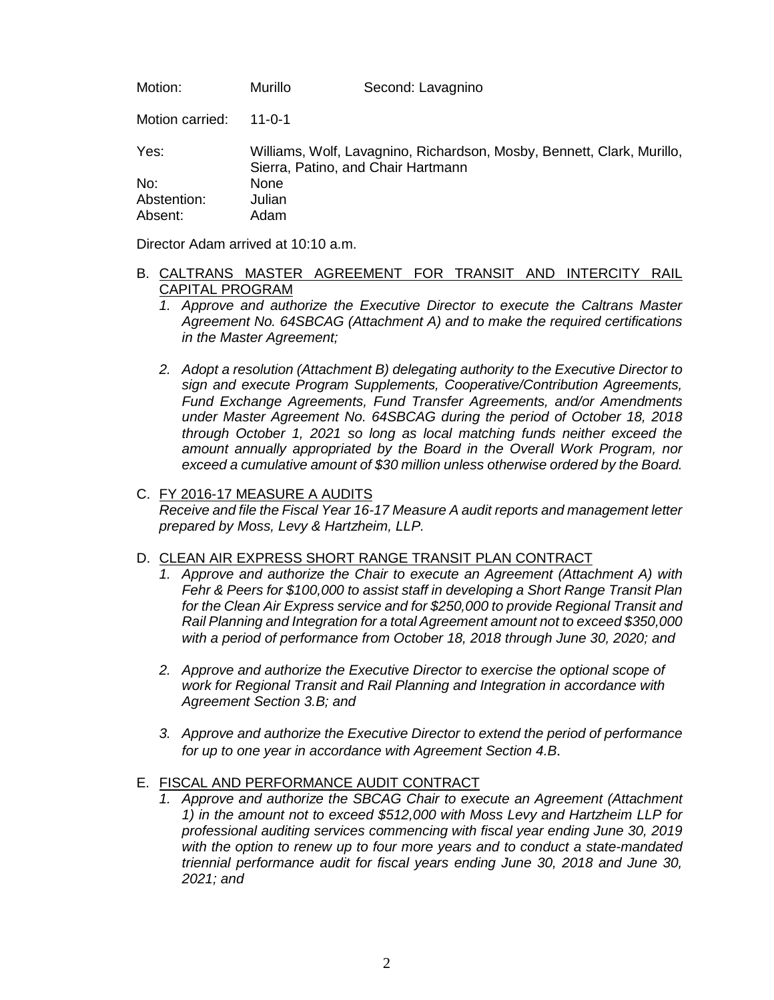Motion: Murillo Second: Lavagnino

Motion carried: 11-0-1

Yes: Williams, Wolf, Lavagnino, Richardson, Mosby, Bennett, Clark, Murillo, Sierra, Patino, and Chair Hartmann No: None Abstention: Julian<br>Absent: Adam Absent:

Director Adam arrived at 10:10 a.m.

### B. CALTRANS MASTER AGREEMENT FOR TRANSIT AND INTERCITY RAIL CAPITAL PROGRAM

- *1. Approve and authorize the Executive Director to execute the Caltrans Master Agreement No. 64SBCAG (Attachment A) and to make the required certifications in the Master Agreement;*
- *2. Adopt a resolution (Attachment B) delegating authority to the Executive Director to sign and execute Program Supplements, Cooperative/Contribution Agreements, Fund Exchange Agreements, Fund Transfer Agreements, and/or Amendments under Master Agreement No. 64SBCAG during the period of October 18, 2018 through October 1, 2021 so long as local matching funds neither exceed the amount annually appropriated by the Board in the Overall Work Program, nor exceed a cumulative amount of \$30 million unless otherwise ordered by the Board.*

### C. FY 2016-17 MEASURE A AUDITS

*Receive and file the Fiscal Year 16-17 Measure A audit reports and management letter prepared by Moss, Levy & Hartzheim, LLP.*

#### D. CLEAN AIR EXPRESS SHORT RANGE TRANSIT PLAN CONTRACT

- *1. Approve and authorize the Chair to execute an Agreement (Attachment A) with Fehr & Peers for \$100,000 to assist staff in developing a Short Range Transit Plan for the Clean Air Express service and for \$250,000 to provide Regional Transit and Rail Planning and Integration for a total Agreement amount not to exceed \$350,000 with a period of performance from October 18, 2018 through June 30, 2020; and*
- *2. Approve and authorize the Executive Director to exercise the optional scope of work for Regional Transit and Rail Planning and Integration in accordance with Agreement Section 3.B; and*
- *3. Approve and authorize the Executive Director to extend the period of performance for up to one year in accordance with Agreement Section 4.B.*

## E. FISCAL AND PERFORMANCE AUDIT CONTRACT

1. Approve and authorize the SBCAG Chair to execute an Agreement (Attachment *1) in the amount not to exceed \$512,000 with Moss Levy and Hartzheim LLP for professional auditing services commencing with fiscal year ending June 30, 2019 with the option to renew up to four more years and to conduct a state-mandated triennial performance audit for fiscal years ending June 30, 2018 and June 30, 2021; and*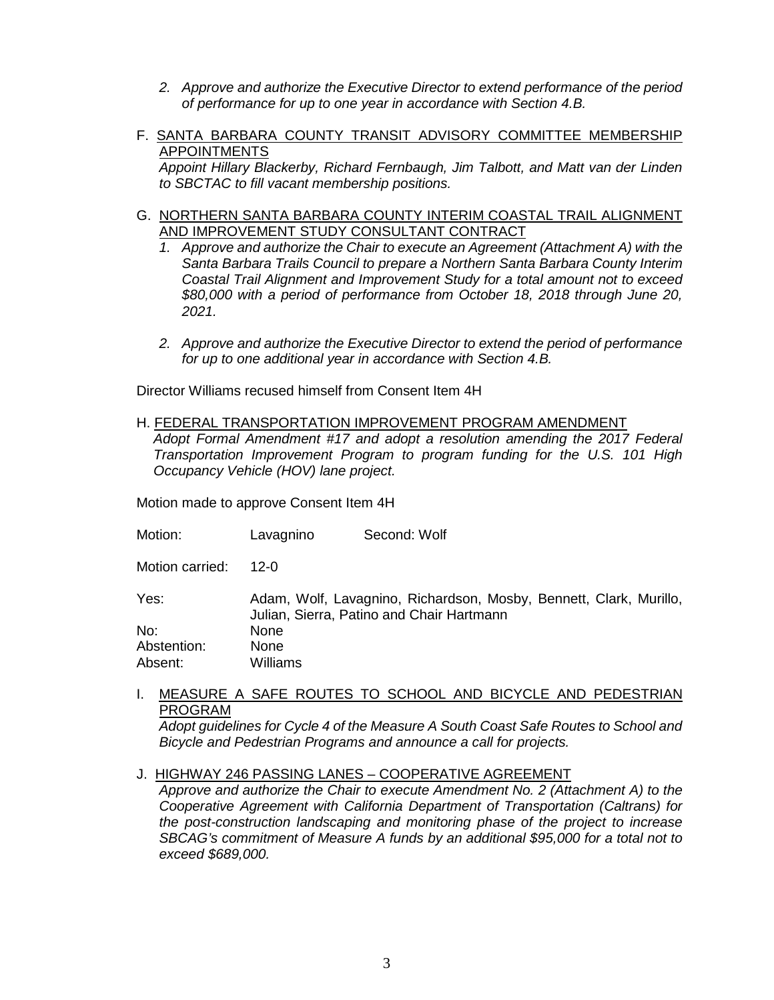- *2. Approve and authorize the Executive Director to extend performance of the period of performance for up to one year in accordance with Section 4.B.*
- F. SANTA BARBARA COUNTY TRANSIT ADVISORY COMMITTEE MEMBERSHIP APPOINTMENTS

*Appoint Hillary Blackerby, Richard Fernbaugh, Jim Talbott, and Matt van der Linden to SBCTAC to fill vacant membership positions.*

- G. NORTHERN SANTA BARBARA COUNTY INTERIM COASTAL TRAIL ALIGNMENT AND IMPROVEMENT STUDY CONSULTANT CONTRACT
	- *1. Approve and authorize the Chair to execute an Agreement (Attachment A) with the Santa Barbara Trails Council to prepare a Northern Santa Barbara County Interim Coastal Trail Alignment and Improvement Study for a total amount not to exceed \$80,000 with a period of performance from October 18, 2018 through June 20, 2021.*
	- *2. Approve and authorize the Executive Director to extend the period of performance for up to one additional year in accordance with Section 4.B.*

Director Williams recused himself from Consent Item 4H

#### H. FEDERAL TRANSPORTATION IMPROVEMENT PROGRAM AMENDMENT

*Adopt Formal Amendment #17 and adopt a resolution amending the 2017 Federal Transportation Improvement Program to program funding for the U.S. 101 High Occupancy Vehicle (HOV) lane project.*

Motion made to approve Consent Item 4H

Motion: Lavagnino Second: Wolf

Motion carried: 12-0

Yes: Adam, Wolf, Lavagnino, Richardson, Mosby, Bennett, Clark, Murillo, Julian, Sierra, Patino and Chair Hartmann No: None Abstention: None

Absent: Williams

I. MEASURE A SAFE ROUTES TO SCHOOL AND BICYCLE AND PEDESTRIAN PROGRAM

*Adopt guidelines for Cycle 4 of the Measure A South Coast Safe Routes to School and Bicycle and Pedestrian Programs and announce a call for projects.*

#### J. HIGHWAY 246 PASSING LANES – COOPERATIVE AGREEMENT

*Approve and authorize the Chair to execute Amendment No. 2 (Attachment A) to the Cooperative Agreement with California Department of Transportation (Caltrans) for the post-construction landscaping and monitoring phase of the project to increase SBCAG's commitment of Measure A funds by an additional \$95,000 for a total not to exceed \$689,000.*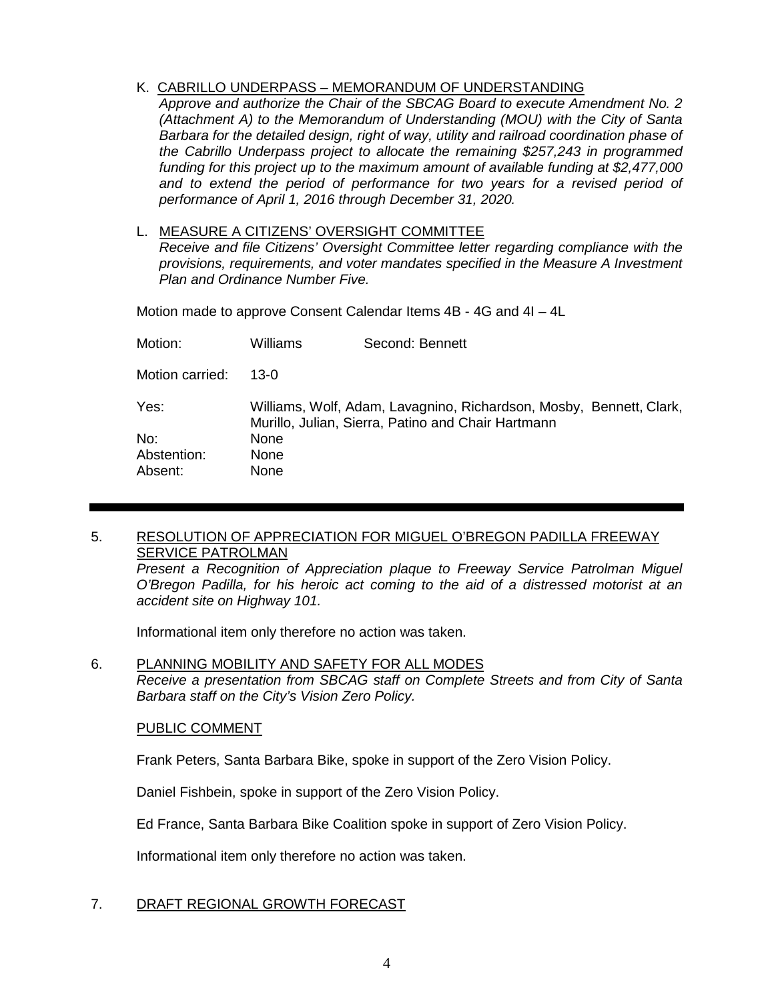K. CABRILLO UNDERPASS – MEMORANDUM OF UNDERSTANDING

*Approve and authorize the Chair of the SBCAG Board to execute Amendment No. 2 (Attachment A) to the Memorandum of Understanding (MOU) with the City of Santa Barbara for the detailed design, right of way, utility and railroad coordination phase of the Cabrillo Underpass project to allocate the remaining \$257,243 in programmed funding for this project up to the maximum amount of available funding at \$2,477,000*  and to extend the period of performance for two years for a revised period of *performance of April 1, 2016 through December 31, 2020.*

L. MEASURE A CITIZENS' OVERSIGHT COMMITTEE

*Receive and file Citizens' Oversight Committee letter regarding compliance with the provisions, requirements, and voter mandates specified in the Measure A Investment Plan and Ordinance Number Five.*

Motion made to approve Consent Calendar Items 4B - 4G and 4I – 4L

| Motion:         | Williams    | Second: Bennett                                                                                                           |  |
|-----------------|-------------|---------------------------------------------------------------------------------------------------------------------------|--|
| Motion carried: | 13-0        |                                                                                                                           |  |
| Yes:            |             | Williams, Wolf, Adam, Lavagnino, Richardson, Mosby, Bennett, Clark,<br>Murillo, Julian, Sierra, Patino and Chair Hartmann |  |
| No:             | <b>None</b> |                                                                                                                           |  |
| Abstention:     | <b>None</b> |                                                                                                                           |  |
| Absent:         | <b>None</b> |                                                                                                                           |  |

### 5. RESOLUTION OF APPRECIATION FOR MIGUEL O'BREGON PADILLA FREEWAY **SERVICE PATROLMAN**

*Present a Recognition of Appreciation plaque to Freeway Service Patrolman Miguel O'Bregon Padilla, for his heroic act coming to the aid of a distressed motorist at an accident site on Highway 101.* 

Informational item only therefore no action was taken.

6. PLANNING MOBILITY AND SAFETY FOR ALL MODES *Receive a presentation from SBCAG staff on Complete Streets and from City of Santa Barbara staff on the City's Vision Zero Policy.*

## PUBLIC COMMENT

Frank Peters, Santa Barbara Bike, spoke in support of the Zero Vision Policy.

Daniel Fishbein, spoke in support of the Zero Vision Policy.

Ed France, Santa Barbara Bike Coalition spoke in support of Zero Vision Policy.

Informational item only therefore no action was taken.

## 7. DRAFT REGIONAL GROWTH FORECAST